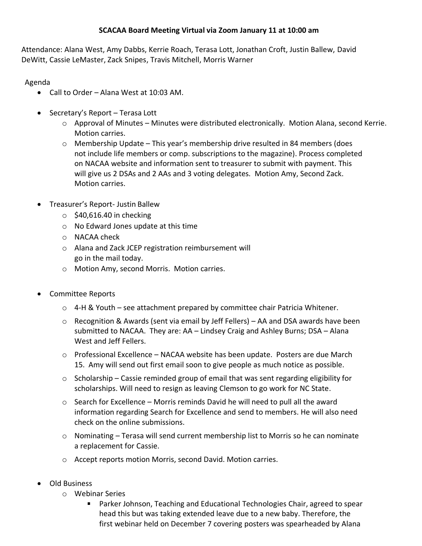# **SCACAA Board Meeting Virtual via Zoom January 11 at 10:00 am**

Attendance: Alana West, Amy Dabbs, Kerrie Roach, Terasa Lott, Jonathan Croft, Justin Ballew, David DeWitt, Cassie LeMaster, Zack Snipes, Travis Mitchell, Morris Warner

Agenda

- Call to Order Alana West at 10:03 AM.
- Secretary's Report Terasa Lott
	- o Approval of Minutes Minutes were distributed electronically. Motion Alana, second Kerrie. Motion carries.
	- $\circ$  Membership Update This year's membership drive resulted in 84 members (does not include life members or comp. subscriptions to the magazine). Process completed on NACAA website and information sent to treasurer to submit with payment. This will give us 2 DSAs and 2 AAs and 3 voting delegates. Motion Amy, Second Zack. Motion carries.
- Treasurer's Report- Justin Ballew
	- $\circ$  \$40,616.40 in checking
	- o No Edward Jones update at this time
	- o NACAA check
	- o Alana and Zack JCEP registration reimbursement will go in the mail today.
	- o Motion Amy, second Morris. Motion carries.
- Committee Reports
	- $\circ$  4-H & Youth see attachment prepared by committee chair Patricia Whitener.
	- $\circ$  Recognition & Awards (sent via email by Jeff Fellers) AA and DSA awards have been submitted to NACAA. They are: AA – Lindsey Craig and Ashley Burns; DSA – Alana West and Jeff Fellers.
	- $\circ$  Professional Excellence NACAA website has been update. Posters are due March 15. Amy will send out first email soon to give people as much notice as possible.
	- $\circ$  Scholarship Cassie reminded group of email that was sent regarding eligibility for scholarships. Will need to resign as leaving Clemson to go work for NC State.
	- $\circ$  Search for Excellence Morris reminds David he will need to pull all the award information regarding Search for Excellence and send to members. He will also need check on the online submissions.
	- o Nominating Terasa will send current membership list to Morris so he can nominate a replacement for Cassie.
	- o Accept reports motion Morris, second David. Motion carries.
- Old Business
	- o Webinar Series
		- $\blacksquare$ Parker Johnson, Teaching and Educational Technologies Chair, agreed to spear head this but was taking extended leave due to a new baby. Therefore, the first webinar held on December 7 covering posters was spearheaded by Alana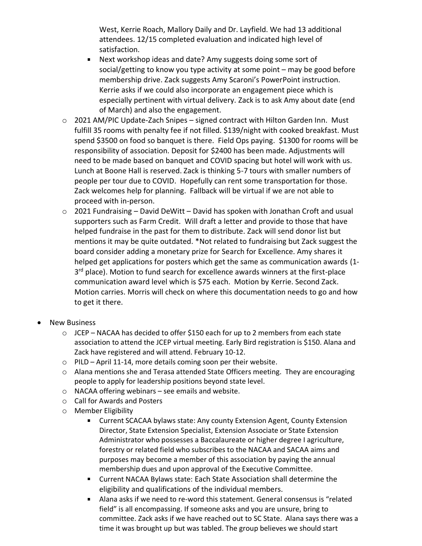West, Kerrie Roach, Mallory Daily and Dr. Layfield. We had 13 additional attendees. 12/15 completed evaluation and indicated high level of satisfaction.

- $\blacksquare$  . Next workshop ideas and date? Amy suggests doing some sort of social/getting to know you type activity at some point – may be good before membership drive. Zack suggests Amy Scaroni's PowerPoint instruction. Kerrie asks if we could also incorporate an engagement piece which is especially pertinent with virtual delivery. Zack is to ask Amy about date (end of March) and also the engagement.
- $\circ$  2021 AM/PIC Update-Zach Snipes signed contract with Hilton Garden Inn. Must fulfill 35 rooms with penalty fee if not filled. \$139/night with cooked breakfast. Must spend \$3500 on food so banquet is there. Field Ops paying. \$1300 for rooms will be responsibility of association. Deposit for \$2400 has been made. Adjustments will need to be made based on banquet and COVID spacing but hotel will work with us. Lunch at Boone Hall is reserved. Zack is thinking 5-7 tours with smaller numbers of people per tour due to COVID. Hopefully can rent some transportation for those. Zack welcomes help for planning. Fallback will be virtual if we are not able to proceed with in-person.
- $\circ$  2021 Fundraising David DeWitt David has spoken with Jonathan Croft and usual supporters such as Farm Credit. Will draft a letter and provide to those that have helped fundraise in the past for them to distribute. Zack will send donor list but mentions it may be quite outdated. \*Not related to fundraising but Zack suggest the board consider adding a monetary prize for Search for Excellence. Amy shares it helped get applications for posters which get the same as communication awards (1- 3<sup>rd</sup> place). Motion to fund search for excellence awards winners at the first-place communication award level which is \$75 each. Motion by Kerrie. Second Zack. Motion carries. Morris will check on where this documentation needs to go and how to get it there.
- **New Business** 
	- $\circ$  JCEP NACAA has decided to offer \$150 each for up to 2 members from each state association to attend the JCEP virtual meeting. Early Bird registration is \$150. Alana and Zack have registered and will attend. February 10-12.
	- $\circ$  PILD April 11-14, more details coming soon per their website.
	- o Alana mentions she and Terasa attended State Officers meeting. They are encouraging people to apply for leadership positions beyond state level.
	- o NACAA offering webinars see emails and website.
	- o Call for Awards and Posters
	- o Member Eligibility
		- Current SCACAA bylaws state: Any county Extension Agent, County Extension Director, State Extension Specialist, Extension Associate or State Extension Administrator who possesses a Baccalaureate or higher degree I agriculture, forestry or related field who subscribes to the NACAA and SACAA aims and purposes may become a member of this association by paying the annual membership dues and upon approval of the Executive Committee.
		- Current NACAA Bylaws state: Each State Association shall determine the eligibility and qualifications of the individual members.
		- $\mathbf{m}$ Alana asks if we need to re-word this statement. General consensus is "related field" is all encompassing. If someone asks and you are unsure, bring to committee. Zack asks if we have reached out to SC State. Alana says there was a time it was brought up but was tabled. The group believes we should start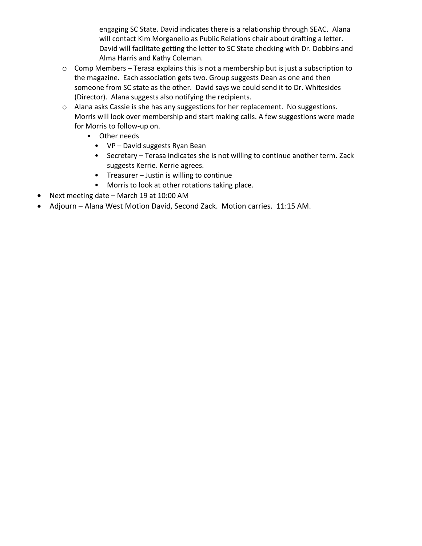engaging SC State. David indicates there is a relationship through SEAC. Alana will contact Kim Morganello as Public Relations chair about drafting a letter. David will facilitate getting the letter to SC State checking with Dr. Dobbins and Alma Harris and Kathy Coleman.

- o Comp Members Terasa explains this is not a membership but is just a subscription to the magazine. Each association gets two. Group suggests Dean as one and then someone from SC state as the other. David says we could send it to Dr. Whitesides (Director). Alana suggests also notifying the recipients.
- o Alana asks Cassie is she has any suggestions for her replacement. No suggestions. Morris will look over membership and start making calls. A few suggestions were made for Morris to follow-up on.
	- **D** Other needs
		- VP David suggests Ryan Bean
		- Secretary Terasa indicates she is not willing to continue another term. Zack suggests Kerrie. Kerrie agrees.
		- Treasurer Justin is willing to continue
		- Morris to look at other rotations taking place.
- Next meeting date March 19 at 10:00 AM
- Adjourn Alana West Motion David, Second Zack. Motion carries. 11:15 AM.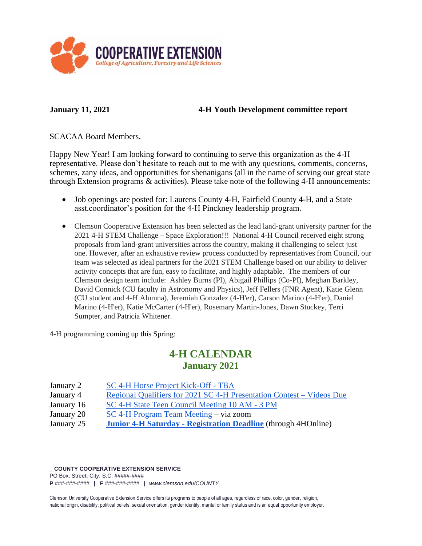

### **January 11, 2021 4-H Youth Development committee report**

SCACAA Board Members,

Happy New Year! I am looking forward to continuing to serve this organization as the 4-H representative. Please don't hesitate to reach out to me with any questions, comments, concerns, schemes, zany ideas, and opportunities for shenanigans (all in the name of serving our great state through Extension programs & activities). Please take note of the following 4-H announcements:

- Job openings are posted for: Laurens County 4-H, Fairfield County 4-H, and a State asst.coordinator's position for the 4-H Pinckney leadership program.
- Clemson Cooperative Extension has been selected as the lead land-grant university partner for the 2021 4-H STEM Challenge – Space Exploration!!! National 4-H Council received eight strong proposals from land-grant universities across the country, making it challenging to select just one. However, after an exhaustive review process conducted by representatives from Council, our team was selected as ideal partners for the 2021 STEM Challenge based on our ability to deliver activity concepts that are fun, easy to facilitate, and highly adaptable. The members of our Clemson design team include: Ashley Burns (PI), Abigail Phillips (Co-PI), Meghan Barkley, David Connick (CU faculty in Astronomy and Physics), Jeff Fellers (FNR Agent), Katie Glenn (CU student and 4-H Alumna), Jeremiah Gonzalez (4-H'er), Carson Marino (4-H'er), Daniel Marino (4-H'er), Katie McCarter (4-H'er), Rosemary Martin-Jones, Dawn Stuckey, Terri Sumpter, and Patricia Whitener.

4-H programming coming up this Spring:

# **4-H CALENDAR January 2021**

| January 2 | SC 4-H Horse Project Kick-Off - TBA |
|-----------|-------------------------------------|
|           |                                     |

- January 4 [Regional Qualifiers for 2021 SC 4-H Presentation Contest –](https://www.clemson.edu/extension/4h/programs/leadership/regional-presentation-contest.html) Videos Due
- January 16 [SC 4-H State Teen Council Meeting](https://www.clemson.edu/extension/4h/programs/leadership/state-level-leadership.html) 10 AM 3 PM
- January 20 [SC 4-H Program Team Meeting](https://urldefense.proofpoint.com/v2/url?u=https-3A__ufl.zoom.us_j_99107103646-3Fpwd-3DcTlPMks2MmRTTWRraUZNN0RBblRkdz09&d=DwMGaQ&c=Ngd-ta5yRYsqeUsEDgxhcqsYYY1Xs5ogLxWPA_2Wlc4&r=fbdTReVTNJYkYI4oTeLe-f5vvXEr3NpYicjWZX3aoP0daVmu9X6X9P1ql_Pbyirw&m=rR27T3DaSOlZtAKInR-p6E4oycAsKUNwrjRjZPzE__c&s=p2mD0XVxLz42mUrre2548g60rLWDqfI7vNuT6bUY1p4&e=) via zoom
- January 25 **[Junior 4-H Saturday -](http://www.clemson.edu/4h/events) Registration Deadline** (through 4HOnline)

### **\_ COUNTY COOPERATIVE EXTENSION SERVICE**

PO Box, Street, City, S.C. #####-####

**P** ###-###-#### **| F** ###-###-#### **|** *www.clemson.edu/COUNTY*

Clemson University Cooperative Extension Service offers its programs to people of all ages, regardless of race, color, gender, religion, national origin, disability, political beliefs, sexual orientation, gender identity, marital or family status and is an equal opportunity employer.